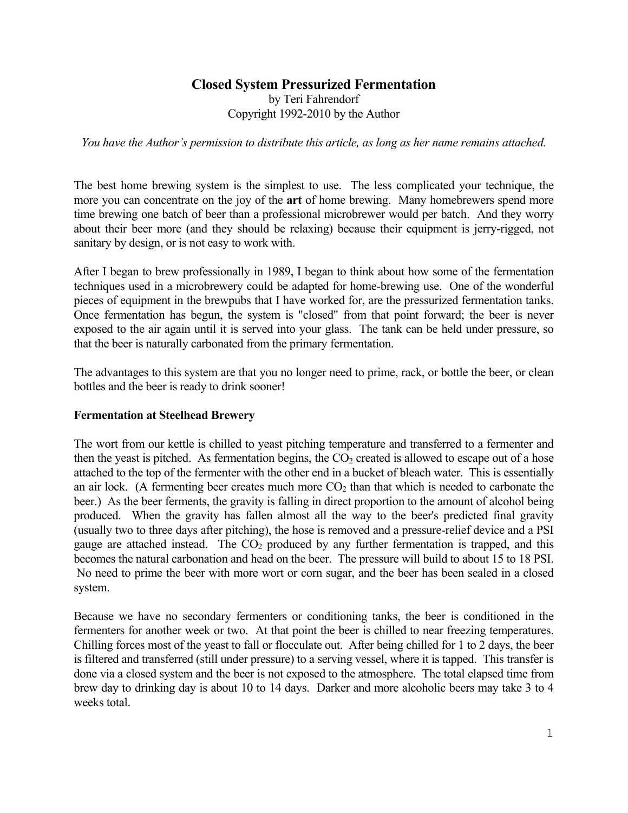## **Closed System Pressurized Fermentation** by Teri Fahrendorf Copyright 1992-2010 by the Author

*You have the Author's permission to distribute this article, as long as her name remains attached.* 

The best home brewing system is the simplest to use. The less complicated your technique, the more you can concentrate on the joy of the **art** of home brewing. Many homebrewers spend more time brewing one batch of beer than a professional microbrewer would per batch. And they worry about their beer more (and they should be relaxing) because their equipment is jerry-rigged, not sanitary by design, or is not easy to work with.

After I began to brew professionally in 1989, I began to think about how some of the fermentation techniques used in a microbrewery could be adapted for home-brewing use. One of the wonderful pieces of equipment in the brewpubs that I have worked for, are the pressurized fermentation tanks. Once fermentation has begun, the system is "closed" from that point forward; the beer is never exposed to the air again until it is served into your glass. The tank can be held under pressure, so that the beer is naturally carbonated from the primary fermentation.

The advantages to this system are that you no longer need to prime, rack, or bottle the beer, or clean bottles and the beer is ready to drink sooner!

#### **Fermentation at Steelhead Brewery**

The wort from our kettle is chilled to yeast pitching temperature and transferred to a fermenter and then the yeast is pitched. As fermentation begins, the  $CO<sub>2</sub>$  created is allowed to escape out of a hose attached to the top of the fermenter with the other end in a bucket of bleach water. This is essentially an air lock. (A fermenting beer creates much more  $CO<sub>2</sub>$  than that which is needed to carbonate the beer.) As the beer ferments, the gravity is falling in direct proportion to the amount of alcohol being produced. When the gravity has fallen almost all the way to the beer's predicted final gravity (usually two to three days after pitching), the hose is removed and a pressure-relief device and a PSI gauge are attached instead. The  $CO<sub>2</sub>$  produced by any further fermentation is trapped, and this becomes the natural carbonation and head on the beer. The pressure will build to about 15 to 18 PSI. No need to prime the beer with more wort or corn sugar, and the beer has been sealed in a closed system.

Because we have no secondary fermenters or conditioning tanks, the beer is conditioned in the fermenters for another week or two. At that point the beer is chilled to near freezing temperatures. Chilling forces most of the yeast to fall or flocculate out. After being chilled for 1 to 2 days, the beer is filtered and transferred (still under pressure) to a serving vessel, where it is tapped. This transfer is done via a closed system and the beer is not exposed to the atmosphere. The total elapsed time from brew day to drinking day is about 10 to 14 days. Darker and more alcoholic beers may take 3 to 4 weeks total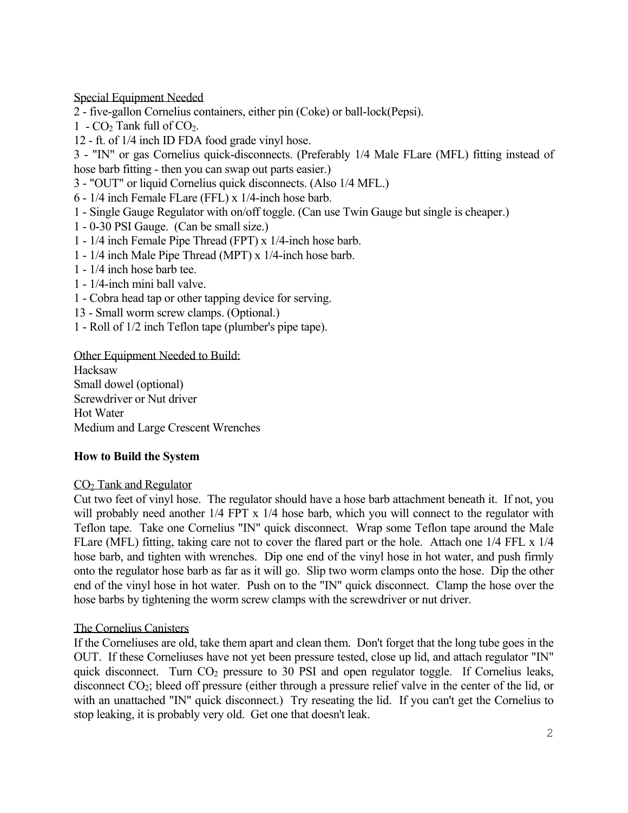Special Equipment Needed

2 - five-gallon Cornelius containers, either pin (Coke) or ball-lock(Pepsi).

- 1  $CO<sub>2</sub>$  Tank full of  $CO<sub>2</sub>$ .
- 12 ft. of 1/4 inch ID FDA food grade vinyl hose.

3 - "IN" or gas Cornelius quick-disconnects. (Preferably 1/4 Male FLare (MFL) fitting instead of hose barb fitting - then you can swap out parts easier.)

- 3 "OUT" or liquid Cornelius quick disconnects. (Also 1/4 MFL.)
- 6 1/4 inch Female FLare (FFL) x 1/4-inch hose barb.
- 1 Single Gauge Regulator with on/off toggle. (Can use Twin Gauge but single is cheaper.)
- 1 0-30 PSI Gauge. (Can be small size.)
- 1 1/4 inch Female Pipe Thread (FPT) x 1/4-inch hose barb.
- 1 1/4 inch Male Pipe Thread (MPT) x 1/4-inch hose barb.
- 1 1/4 inch hose barb tee.
- 1 1/4-inch mini ball valve.
- 1 Cobra head tap or other tapping device for serving.
- 13 Small worm screw clamps. (Optional.)
- 1 Roll of 1/2 inch Teflon tape (plumber's pipe tape).

Other Equipment Needed to Build: Hacksaw Small dowel (optional) Screwdriver or Nut driver Hot Water Medium and Large Crescent Wrenches

#### **How to Build the System**

#### CO2 Tank and Regulator

Cut two feet of vinyl hose. The regulator should have a hose barb attachment beneath it. If not, you will probably need another  $1/4$  FPT x  $1/4$  hose barb, which you will connect to the regulator with Teflon tape. Take one Cornelius "IN" quick disconnect. Wrap some Teflon tape around the Male FLare (MFL) fitting, taking care not to cover the flared part or the hole. Attach one 1/4 FFL x 1/4 hose barb, and tighten with wrenches. Dip one end of the vinyl hose in hot water, and push firmly onto the regulator hose barb as far as it will go. Slip two worm clamps onto the hose. Dip the other end of the vinyl hose in hot water. Push on to the "IN" quick disconnect. Clamp the hose over the hose barbs by tightening the worm screw clamps with the screwdriver or nut driver.

#### The Cornelius Canisters

If the Corneliuses are old, take them apart and clean them. Don't forget that the long tube goes in the OUT. If these Corneliuses have not yet been pressure tested, close up lid, and attach regulator "IN" quick disconnect. Turn CO2 pressure to 30 PSI and open regulator toggle. If Cornelius leaks, disconnect CO2; bleed off pressure (either through a pressure relief valve in the center of the lid, or with an unattached "IN" quick disconnect.) Try reseating the lid. If you can't get the Cornelius to stop leaking, it is probably very old. Get one that doesn't leak.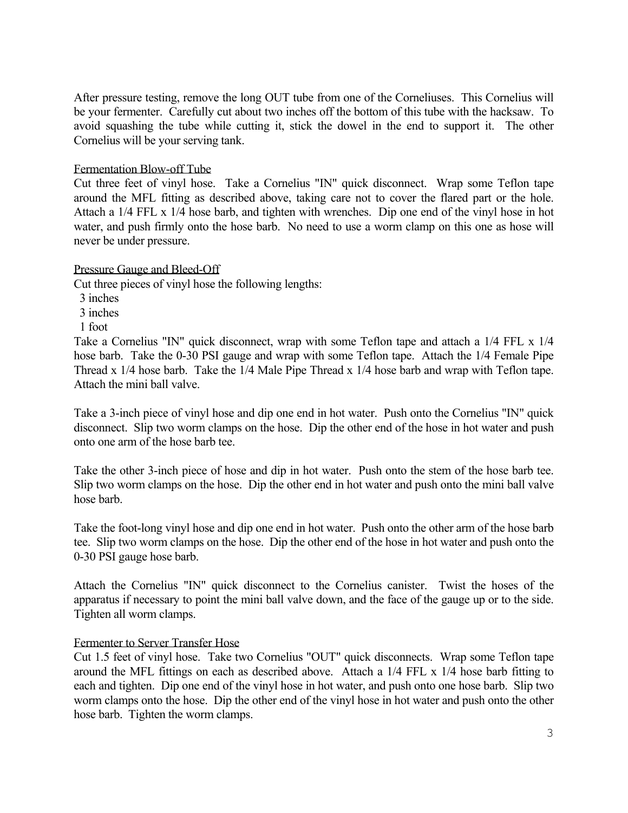After pressure testing, remove the long OUT tube from one of the Corneliuses. This Cornelius will be your fermenter. Carefully cut about two inches off the bottom of this tube with the hacksaw. To avoid squashing the tube while cutting it, stick the dowel in the end to support it. The other Cornelius will be your serving tank.

## Fermentation Blow-off Tube

Cut three feet of vinyl hose. Take a Cornelius "IN" quick disconnect. Wrap some Teflon tape around the MFL fitting as described above, taking care not to cover the flared part or the hole. Attach a 1/4 FFL x 1/4 hose barb, and tighten with wrenches. Dip one end of the vinyl hose in hot water, and push firmly onto the hose barb. No need to use a worm clamp on this one as hose will never be under pressure.

#### Pressure Gauge and Bleed-Off

Cut three pieces of vinyl hose the following lengths:

- 3 inches
- 3 inches
- 1 foot

Take a Cornelius "IN" quick disconnect, wrap with some Teflon tape and attach a 1/4 FFL x 1/4 hose barb. Take the 0-30 PSI gauge and wrap with some Teflon tape. Attach the 1/4 Female Pipe Thread x 1/4 hose barb. Take the 1/4 Male Pipe Thread x 1/4 hose barb and wrap with Teflon tape. Attach the mini ball valve.

Take a 3-inch piece of vinyl hose and dip one end in hot water. Push onto the Cornelius "IN" quick disconnect. Slip two worm clamps on the hose. Dip the other end of the hose in hot water and push onto one arm of the hose barb tee.

Take the other 3-inch piece of hose and dip in hot water. Push onto the stem of the hose barb tee. Slip two worm clamps on the hose. Dip the other end in hot water and push onto the mini ball valve hose barb.

Take the foot-long vinyl hose and dip one end in hot water. Push onto the other arm of the hose barb tee. Slip two worm clamps on the hose. Dip the other end of the hose in hot water and push onto the 0-30 PSI gauge hose barb.

Attach the Cornelius "IN" quick disconnect to the Cornelius canister. Twist the hoses of the apparatus if necessary to point the mini ball valve down, and the face of the gauge up or to the side. Tighten all worm clamps.

#### Fermenter to Server Transfer Hose

Cut 1.5 feet of vinyl hose. Take two Cornelius "OUT" quick disconnects. Wrap some Teflon tape around the MFL fittings on each as described above. Attach a 1/4 FFL x 1/4 hose barb fitting to each and tighten. Dip one end of the vinyl hose in hot water, and push onto one hose barb. Slip two worm clamps onto the hose. Dip the other end of the vinyl hose in hot water and push onto the other hose barb. Tighten the worm clamps.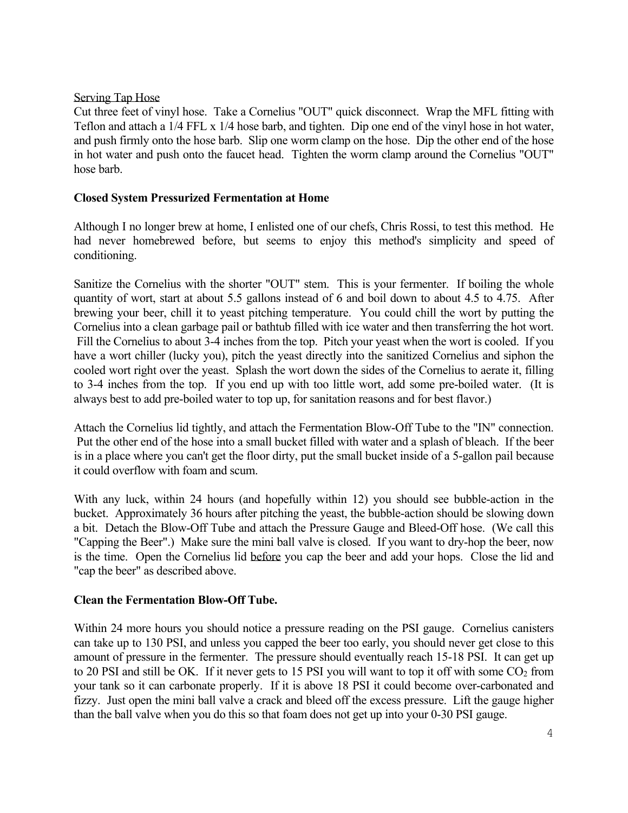#### Serving Tap Hose

Cut three feet of vinyl hose. Take a Cornelius "OUT" quick disconnect. Wrap the MFL fitting with Teflon and attach a 1/4 FFL x 1/4 hose barb, and tighten. Dip one end of the vinyl hose in hot water, and push firmly onto the hose barb. Slip one worm clamp on the hose. Dip the other end of the hose in hot water and push onto the faucet head. Tighten the worm clamp around the Cornelius "OUT" hose barb.

## **Closed System Pressurized Fermentation at Home**

Although I no longer brew at home, I enlisted one of our chefs, Chris Rossi, to test this method. He had never homebrewed before, but seems to enjoy this method's simplicity and speed of conditioning.

Sanitize the Cornelius with the shorter "OUT" stem. This is your fermenter. If boiling the whole quantity of wort, start at about 5.5 gallons instead of 6 and boil down to about 4.5 to 4.75. After brewing your beer, chill it to yeast pitching temperature. You could chill the wort by putting the Cornelius into a clean garbage pail or bathtub filled with ice water and then transferring the hot wort. Fill the Cornelius to about 3-4 inches from the top. Pitch your yeast when the wort is cooled. If you have a wort chiller (lucky you), pitch the yeast directly into the sanitized Cornelius and siphon the cooled wort right over the yeast. Splash the wort down the sides of the Cornelius to aerate it, filling to 3-4 inches from the top. If you end up with too little wort, add some pre-boiled water. (It is always best to add pre-boiled water to top up, for sanitation reasons and for best flavor.)

Attach the Cornelius lid tightly, and attach the Fermentation Blow-Off Tube to the "IN" connection. Put the other end of the hose into a small bucket filled with water and a splash of bleach. If the beer is in a place where you can't get the floor dirty, put the small bucket inside of a 5-gallon pail because it could overflow with foam and scum.

With any luck, within 24 hours (and hopefully within 12) you should see bubble-action in the bucket. Approximately 36 hours after pitching the yeast, the bubble-action should be slowing down a bit. Detach the Blow-Off Tube and attach the Pressure Gauge and Bleed-Off hose. (We call this "Capping the Beer".) Make sure the mini ball valve is closed. If you want to dry-hop the beer, now is the time. Open the Cornelius lid before you cap the beer and add your hops. Close the lid and "cap the beer" as described above.

#### **Clean the Fermentation Blow-Off Tube.**

Within 24 more hours you should notice a pressure reading on the PSI gauge. Cornelius canisters can take up to 130 PSI, and unless you capped the beer too early, you should never get close to this amount of pressure in the fermenter. The pressure should eventually reach 15-18 PSI. It can get up to 20 PSI and still be OK. If it never gets to 15 PSI you will want to top it off with some CO<sub>2</sub> from your tank so it can carbonate properly. If it is above 18 PSI it could become over-carbonated and fizzy. Just open the mini ball valve a crack and bleed off the excess pressure. Lift the gauge higher than the ball valve when you do this so that foam does not get up into your 0-30 PSI gauge.